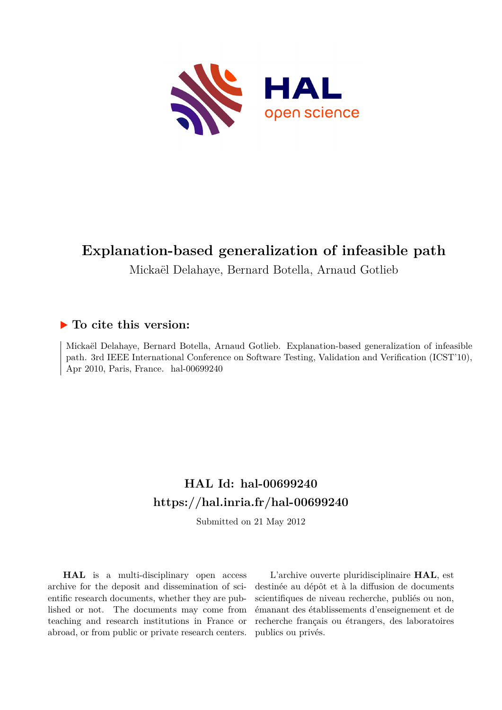

## **Explanation-based generalization of infeasible path**

Mickaël Delahaye, Bernard Botella, Arnaud Gotlieb

### **To cite this version:**

Mickaël Delahaye, Bernard Botella, Arnaud Gotlieb. Explanation-based generalization of infeasible path. 3rd IEEE International Conference on Software Testing, Validation and Verification (ICST'10), Apr 2010, Paris, France. hal-00699240

### **HAL Id: hal-00699240 <https://hal.inria.fr/hal-00699240>**

Submitted on 21 May 2012

**HAL** is a multi-disciplinary open access archive for the deposit and dissemination of scientific research documents, whether they are published or not. The documents may come from teaching and research institutions in France or abroad, or from public or private research centers.

L'archive ouverte pluridisciplinaire **HAL**, est destinée au dépôt et à la diffusion de documents scientifiques de niveau recherche, publiés ou non, émanant des établissements d'enseignement et de recherche français ou étrangers, des laboratoires publics ou privés.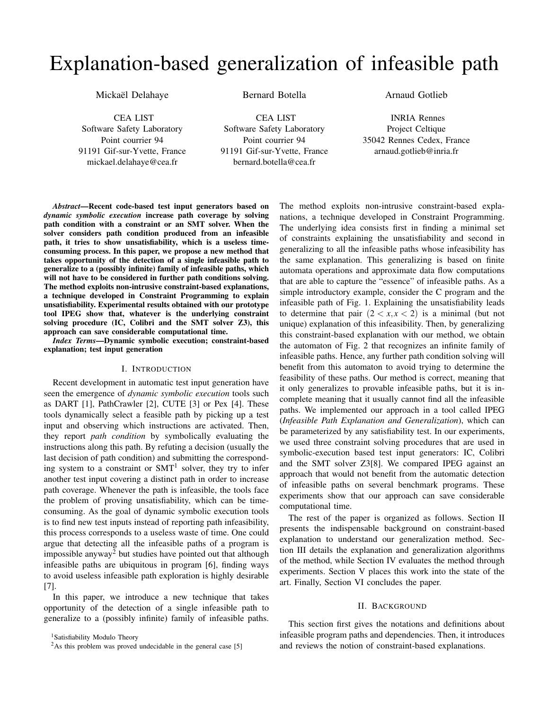# Explanation-based generalization of infeasible path

Mickaël Delahaye

Bernard Botella

CEA LIST

Software Safety Laboratory Point courrier 94 91191 Gif-sur-Yvette, France mickael.delahaye@cea.fr

CEA LIST Software Safety Laboratory Point courrier 94 91191 Gif-sur-Yvette, France bernard.botella@cea.fr

Arnaud Gotlieb

INRIA Rennes Project Celtique 35042 Rennes Cedex, France arnaud.gotlieb@inria.fr

*Abstract*—Recent code-based test input generators based on *dynamic symbolic execution* increase path coverage by solving path condition with a constraint or an SMT solver. When the solver considers path condition produced from an infeasible path, it tries to show unsatisfiability, which is a useless timeconsuming process. In this paper, we propose a new method that takes opportunity of the detection of a single infeasible path to generalize to a (possibly infinite) family of infeasible paths, which will not have to be considered in further path conditions solving. The method exploits non-intrusive constraint-based explanations, a technique developed in Constraint Programming to explain unsatisfiability. Experimental results obtained with our prototype tool IPEG show that, whatever is the underlying constraint solving procedure (IC, Colibri and the SMT solver Z3), this approach can save considerable computational time.

*Index Terms*—Dynamic symbolic execution; constraint-based explanation; test input generation

#### I. INTRODUCTION

Recent development in automatic test input generation have seen the emergence of *dynamic symbolic execution* tools such as DART [\[1\]](#page-10-0), PathCrawler [\[2\]](#page-10-1), CUTE [\[3\]](#page-10-2) or Pex [\[4\]](#page-10-3). These tools dynamically select a feasible path by picking up a test input and observing which instructions are activated. Then, they report *path condition* by symbolically evaluating the instructions along this path. By refuting a decision (usually the last decision of path condition) and submitting the corresponding system to a constraint or  $SMT<sup>1</sup>$  $SMT<sup>1</sup>$  $SMT<sup>1</sup>$  solver, they try to infer another test input covering a distinct path in order to increase path coverage. Whenever the path is infeasible, the tools face the problem of proving unsatisfiability, which can be timeconsuming. As the goal of dynamic symbolic execution tools is to find new test inputs instead of reporting path infeasibility, this process corresponds to a useless waste of time. One could argue that detecting all the infeasible paths of a program is impossible anyway<sup>[2](#page-1-1)</sup> but studies have pointed out that although infeasible paths are ubiquitous in program [\[6\]](#page-10-4), finding ways to avoid useless infeasible path exploration is highly desirable [\[7\]](#page-10-5).

In this paper, we introduce a new technique that takes opportunity of the detection of a single infeasible path to generalize to a (possibly infinite) family of infeasible paths.

<span id="page-1-0"></span><sup>1</sup>Satisfiability Modulo Theory

The method exploits non-intrusive constraint-based explanations, a technique developed in Constraint Programming. The underlying idea consists first in finding a minimal set of constraints explaining the unsatisfiability and second in generalizing to all the infeasible paths whose infeasibility has the same explanation. This generalizing is based on finite automata operations and approximate data flow computations that are able to capture the "essence" of infeasible paths. As a simple introductory example, consider the C program and the infeasible path of Fig. [1.](#page-2-0) Explaining the unsatisfiability leads to determine that pair  $(2 < x, x < 2)$  is a minimal (but not unique) explanation of this infeasibility. Then, by generalizing this constraint-based explanation with our method, we obtain the automaton of Fig. [2](#page-2-1) that recognizes an infinite family of infeasible paths. Hence, any further path condition solving will benefit from this automaton to avoid trying to determine the feasibility of these paths. Our method is correct, meaning that it only generalizes to provable infeasible paths, but it is incomplete meaning that it usually cannot find all the infeasible paths. We implemented our approach in a tool called IPEG (*Infeasible Path Explanation and Generalization*), which can be parameterized by any satisfiability test. In our experiments, we used three constraint solving procedures that are used in symbolic-execution based test input generators: IC, Colibri and the SMT solver Z3[\[8\]](#page-10-7). We compared IPEG against an approach that would not benefit from the automatic detection of infeasible paths on several benchmark programs. These experiments show that our approach can save considerable computational time.

The rest of the paper is organized as follows. Section [II](#page-1-2) presents the indispensable background on constraint-based explanation to understand our generalization method. Section [III](#page-3-0) details the explanation and generalization algorithms of the method, while Section [IV](#page-6-0) evaluates the method through experiments. Section [V](#page-8-0) places this work into the state of the art. Finally, Section [VI](#page-10-8) concludes the paper.

#### II. BACKGROUND

<span id="page-1-2"></span>This section first gives the notations and definitions about infeasible program paths and dependencies. Then, it introduces and reviews the notion of constraint-based explanations.

<span id="page-1-1"></span><sup>&</sup>lt;sup>2</sup>As this problem was proved undecidable in the general case [\[5\]](#page-10-6)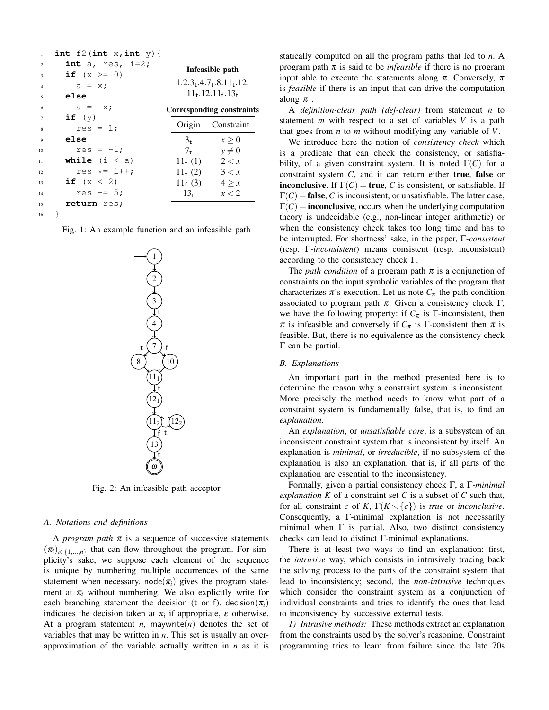| $\mathbf{1}$                                    | int $f2(int x, int y)$ {             |                                                               |                     |  |  |
|-------------------------------------------------|--------------------------------------|---------------------------------------------------------------|---------------------|--|--|
| $\overline{2}$                                  | int a, res, $i=2;$<br>if $(x \ge 0)$ | Infeasible path                                               |                     |  |  |
| 3<br>$\overline{4}$<br>$\overline{\phantom{0}}$ | $a = x;$<br>else                     | $1.2.3$ , $4.7$ , $8.11$ , $12.$<br>$11_{+}.12.11_{f}.13_{+}$ |                     |  |  |
| 6                                               | $a = -x$ ;                           | Corresponding constraints                                     |                     |  |  |
| 7<br>8                                          | if $(y)$<br>$res = 1;$               |                                                               | Origin Constraint   |  |  |
| 9                                               | else                                 | $3+$                                                          | x > 0               |  |  |
| 10                                              | $res = -1;$                          | $7_{t}$                                                       | $y \neq 0$          |  |  |
| 11                                              | <b>while</b> $(i < a)$               |                                                               | $11_t(1)$ $2 < x$   |  |  |
| 12                                              | res $\star = i++$ ;                  |                                                               | $11_{t}(2)$ $3 < x$ |  |  |
| 13                                              | if $(x < 2)$                         | $11_f(3)$                                                     | $4 \geq x$          |  |  |
| 14                                              | res $+= 5$ ;                         | $13_{+}$                                                      | x < 2               |  |  |
| 15                                              | return res;                          |                                                               |                     |  |  |
| 16                                              |                                      |                                                               |                     |  |  |

<span id="page-2-0"></span>Fig. 1: An example function and an infeasible path



<span id="page-2-1"></span>Fig. 2: An infeasible path acceptor

#### *A. Notations and definitions*

A *program path*  $\pi$  is a sequence of successive statements  $(\pi_i)_{i \in \{1,\dots,n\}}$  that can flow throughout the program. For simplicity's sake, we suppose each element of the sequence is unique by numbering multiple occurrences of the same statement when necessary. node( $\pi$ <sup>*i*</sup>) gives the program statement at  $\pi$ <sub>*i*</sub> without numbering. We also explicitly write for each branching statement the decision (t or f). decision $(\pi_i)$ indicates the decision taken at  $\pi$ <sub>*i*</sub> if appropriate,  $\varepsilon$  otherwise. At a program statement *n*, maywrite(*n*) denotes the set of variables that may be written in *n*. This set is usually an overapproximation of the variable actually written in *n* as it is statically computed on all the program paths that led to *n*. A program path  $\pi$  is said to be *infeasible* if there is no program input able to execute the statements along  $\pi$ . Conversely,  $\pi$ is *feasible* if there is an input that can drive the computation along  $\pi$ .

A *definition-clear path (def-clear)* from statement *n* to statement *m* with respect to a set of variables *V* is a path that goes from *n* to *m* without modifying any variable of *V*.

We introduce here the notion of *consistency check* which is a predicate that can check the consistency, or satisfiability, of a given constraint system. It is noted  $\Gamma(C)$  for a constraint system *C*, and it can return either true, false or **inconclusive.** If  $\Gamma(C) = \text{true}, C$  is consistent, or satisfiable. If  $\Gamma(C)$  = **false**, *C* is inconsistent, or unsatisfiable. The latter case,  $\Gamma(C)$  = **inconclusive**, occurs when the underlying computation theory is undecidable (e.g., non-linear integer arithmetic) or when the consistency check takes too long time and has to be interrupted. For shortness' sake, in the paper, Γ*-consistent* (resp. Γ*-inconsistent*) means consistent (resp. inconsistent) according to the consistency check Γ.

The *path condition* of a program path  $\pi$  is a conjunction of constraints on the input symbolic variables of the program that characterizes  $\pi$ 's execution. Let us note  $C_{\pi}$  the path condition associated to program path  $π$ . Given a consistency check Γ, we have the following property: if  $C_{\pi}$  is  $\Gamma$ -inconsistent, then  $\pi$  is infeasible and conversely if  $C_{\pi}$  is  $\Gamma$ -consistent then  $\pi$  is feasible. But, there is no equivalence as the consistency check Γ can be partial.

#### *B. Explanations*

An important part in the method presented here is to determine the reason why a constraint system is inconsistent. More precisely the method needs to know what part of a constraint system is fundamentally false, that is, to find an *explanation*.

An *explanation*, or *unsatisfiable core*, is a subsystem of an inconsistent constraint system that is inconsistent by itself. An explanation is *minimal*, or *irreducible*, if no subsystem of the explanation is also an explanation, that is, if all parts of the explanation are essential to the inconsistency.

Formally, given a partial consistency check Γ, a Γ*-minimal explanation*  $K$  of a constraint set  $C$  is a subset of  $C$  such that, for all constraint *c* of *K*,  $\Gamma(K \setminus \{c\})$  is *true* or *inconclusive*. Consequently, a Γ-minimal explanation is not necessarily minimal when  $\Gamma$  is partial. Also, two distinct consistency checks can lead to distinct Γ-minimal explanations.

There is at least two ways to find an explanation: first, the *intrusive* way, which consists in intrusively tracing back the solving process to the parts of the constraint system that lead to inconsistency; second, the *non-intrusive* techniques which consider the constraint system as a conjunction of individual constraints and tries to identify the ones that lead to inconsistency by successive external tests.

*1) Intrusive methods:* These methods extract an explanation from the constraints used by the solver's reasoning. Constraint programming tries to learn from failure since the late 70s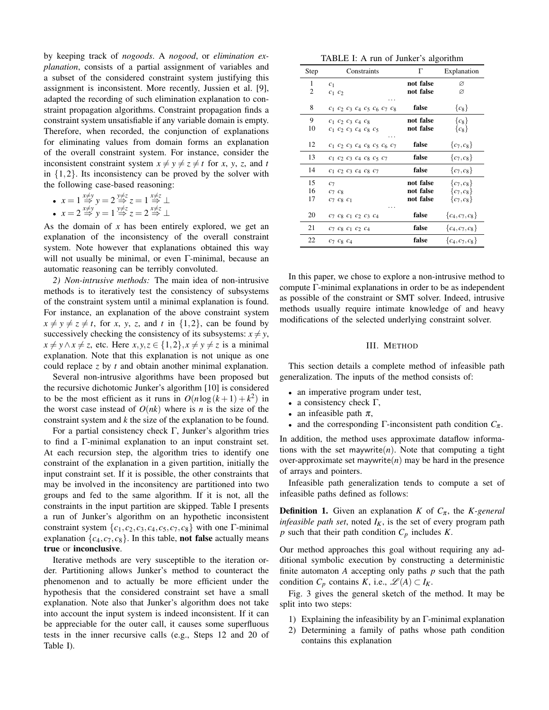by keeping track of *nogoods*. A *nogood*, or *elimination explanation*, consists of a partial assignment of variables and a subset of the considered constraint system justifying this assignment is inconsistent. More recently, Jussien et al. [\[9\]](#page-10-9), adapted the recording of such elimination explanation to constraint propagation algorithms. Constraint propagation finds a constraint system unsatisfiable if any variable domain is empty. Therefore, when recorded, the conjunction of explanations for eliminating values from domain forms an explanation of the overall constraint system. For instance, consider the inconsistent constraint system  $x \neq y \neq z \neq t$  for *x*, *y*, *z*, and *t* in  $\{1,2\}$ . Its inconsistency can be proved by the solver with the following case-based reasoning:

• 
$$
x = 1 \stackrel{x \neq y}{\Rightarrow} y = 2 \stackrel{y \neq z}{\Rightarrow} z = 1 \stackrel{x \neq z}{\Rightarrow} \perp
$$

• 
$$
x = 2 \stackrel{x \neq y}{\Rightarrow} y = 1 \stackrel{y \neq z}{\Rightarrow} z = 2 \stackrel{x \neq z}{\Rightarrow} \perp
$$

As the domain of *x* has been entirely explored, we get an explanation of the inconsistency of the overall constraint system. Note however that explanations obtained this way will not usually be minimal, or even Γ-minimal, because an automatic reasoning can be terribly convoluted.

*2) Non-intrusive methods:* The main idea of non-intrusive methods is to iteratively test the consistency of subsystems of the constraint system until a minimal explanation is found. For instance, an explanation of the above constraint system  $x \neq y \neq z \neq t$ , for *x*, *y*, *z*, and *t* in {1,2}, can be found by successively checking the consistency of its subsystems:  $x \neq y$ , *x* ≠ *y* ∧ *x* ≠ *z*, etc. Here *x*, *y*, *z* ∈ {1, 2}, *x* ≠ *y* ≠ *z* is a minimal explanation. Note that this explanation is not unique as one could replace *z* by *t* and obtain another minimal explanation.

Several non-intrusive algorithms have been proposed but the recursive dichotomic Junker's algorithm [\[10\]](#page-10-10) is considered to be the most efficient as it runs in  $O(n \log (k+1) + k^2)$  in the worst case instead of  $O(nk)$  where is *n* is the size of the constraint system and *k* the size of the explanation to be found.

For a partial consistency check Γ, Junker's algorithm tries to find a Γ-minimal explanation to an input constraint set. At each recursion step, the algorithm tries to identify one constraint of the explanation in a given partition, initially the input constraint set. If it is possible, the other constraints that may be involved in the inconsitency are partitioned into two groups and fed to the same algorithm. If it is not, all the constraints in the input partition are skipped. Table [I](#page-3-1) presents a run of Junker's algorithm on an hypothetic inconsistent constraint system  $\{c_1, c_2, c_3, c_4, c_5, c_7, c_8\}$  with one Γ-minimal explanation  $\{c_4, c_7, c_8\}$ . In this table, **not false** actually means true or inconclusive.

Iterative methods are very susceptible to the iteration order. Partitioning allows Junker's method to counteract the phenomenon and to actually be more efficient under the hypothesis that the considered constraint set have a small explanation. Note also that Junker's algorithm does not take into account the input system is indeed inconsistent. If it can be appreciable for the outer call, it causes some superfluous tests in the inner recursive calls (e.g., Steps 12 and 20 of Table [I\)](#page-3-1).

<span id="page-3-1"></span>TABLE I: A run of Junker's algorithm

| Step           | Constraints                                                          | Г                                   | Explanation                                  |
|----------------|----------------------------------------------------------------------|-------------------------------------|----------------------------------------------|
| 1<br>2         | c <sub>1</sub><br>$c_1$ $c_2$                                        | not false<br>not false              | Ø<br>Ø                                       |
| 8              | $c_1$ $c_2$ $c_3$ $c_4$ $c_5$ $c_6$ $c_7$ $c_8$                      | false                               | ${c_8}$                                      |
| 9<br>10        | $C_1$ $C_2$ $C_3$ $C_4$ $C_8$<br>$c_1$ $c_2$ $c_3$ $c_4$ $c_8$ $c_5$ | not false<br>not false              | ${c_8}$<br>${c_8}$                           |
| 12             | $c_1$ $c_2$ $c_3$ $c_4$ $c_8$ $c_5$ $c_6$ $c_7$                      | false                               | ${c_7, c_8}$                                 |
| 13             | $c_1$ $c_2$ $c_3$ $c_4$ $c_8$ $c_5$ $c_7$                            | false                               | ${c_7, c_8}$                                 |
| 14             | $C_1$ $C_2$ $C_3$ $C_4$ $C_8$ $C_7$                                  | false                               | ${c_7, c_8}$                                 |
| 15<br>16<br>17 | C <sub>7</sub><br>$c_7$ $c_8$<br>$c_7$ $c_8$ $c_1$                   | not false<br>not false<br>not false | ${c_7, c_8}$<br>${c_7, c_8}$<br>${c_7, c_8}$ |
| 20             | $C_7$ $C_8$ $C_1$ $C_2$ $C_3$ $C_4$                                  | false                               | $\{c_4, c_7, c_8\}$                          |
| 21             | $c_7 c_8 c_1 c_2 c_4$                                                | false                               | ${c_4, c_7, c_8}$                            |
| 22             | $c_7$ $c_8$ $c_4$                                                    | false                               | $\{c_4, c_7, c_8\}$                          |

In this paper, we chose to explore a non-intrusive method to compute Γ-minimal explanations in order to be as independent as possible of the constraint or SMT solver. Indeed, intrusive methods usually require intimate knowledge of and heavy modifications of the selected underlying constraint solver.

#### III. METHOD

<span id="page-3-0"></span>This section details a complete method of infeasible path generalization. The inputs of the method consists of:

- an imperative program under test,
- a consistency check  $Γ$ ,
- an infeasible path  $\pi$ ,
- and the corresponding  $\Gamma$ -inconsistent path condition  $C_{\pi}$ .

In addition, the method uses approximate dataflow informations with the set maywrite(*n*). Note that computing a tight over-approximate set maywrite $(n)$  may be hard in the presence of arrays and pointers.

Infeasible path generalization tends to compute a set of infeasible paths defined as follows:

**Definition 1.** Given an explanation *K* of  $C_{\pi}$ , the *K*-general *infeasible path set*, noted  $I_K$ , is the set of every program path *p* such that their path condition *C<sup>p</sup>* includes *K*.

Our method approaches this goal without requiring any additional symbolic execution by constructing a deterministic finite automaton *A* accepting only paths *p* such that the path condition  $C_p$  contains  $K$ , i.e.,  $\mathscr{L}(A) \subset I_K$ .

Fig. [3](#page-4-0) gives the general sketch of the method. It may be split into two steps:

- 1) Explaining the infeasibility by an Γ-minimal explanation
- 2) Determining a family of paths whose path condition contains this explanation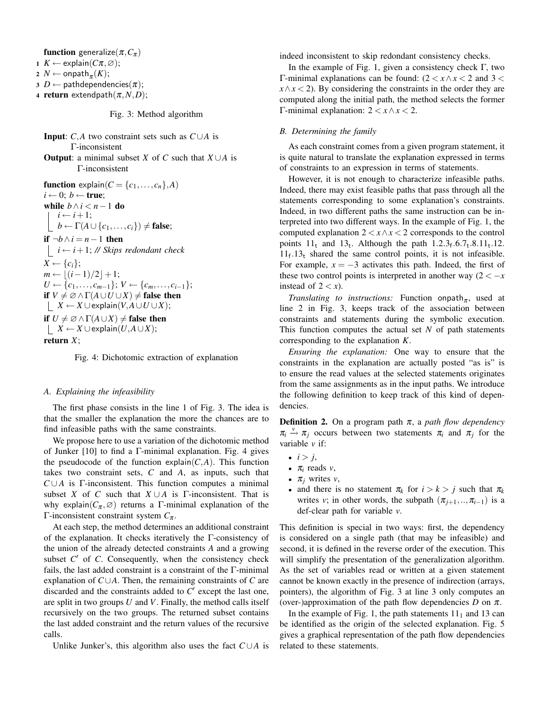function generalize $(\pi, C_{\pi})$ 

<span id="page-4-1"></span>1 *K* ← explain( $Cπ, ∅$ );

<span id="page-4-3"></span> $2 \, N \leftarrow \mathsf{onpath}_{\pi}(K);$ 

<span id="page-4-4"></span> $3$  *D* ← pathdependencies $(\pi)$ ;

4 **return** extendpath $(\pi, N, D)$ ;

<span id="page-4-0"></span>Fig. 3: Method algorithm

Input: *C*,*A* two constraint sets such as *C*∪*A* is Γ-inconsistent

**Output:** a minimal subset *X* of *C* such that  $X \cup A$  is Γ-inconsistent

function  $\exp(\text{sin}(C = \{c_1, \ldots, c_n\}, A))$  $i \leftarrow 0$ ;  $b \leftarrow true$ ; while  $b \wedge i < n-1$  do  $i \leftarrow i+1$ ;  $\vert b \leftarrow \Gamma(A \cup \{c_1, \ldots, c_i\}) \neq \textbf{false};$ **if**  $\neg b \land i = n - 1$  **then**  $$  $X \leftarrow \{c_i\};$  $m \leftarrow |(i-1)/2| + 1;$ *U* ←  $\{c_1, \ldots, c_{m-1}\}; V$  ←  $\{c_m, \ldots, c_{i-1}\};$ if  $V \neq \emptyset \wedge \Gamma(A \cup U \cup X) \neq$  false then  $\vert$  *X* ← *X* ∪explain(*V*, *A* ∪ *U* ∪ *X*); if  $U \neq \emptyset \wedge \Gamma(A \cup X) \neq$  false then  $|$  *X* ← *X* ∪explain(*U*, *A* ∪ *X*); return *X*;

<span id="page-4-2"></span>Fig. 4: Dichotomic extraction of explanation

#### *A. Explaining the infeasibility*

The first phase consists in the line [1](#page-4-1) of Fig. [3.](#page-4-0) The idea is that the smaller the explanation the more the chances are to find infeasible paths with the same constraints.

We propose here to use a variation of the dichotomic method of Junker  $[10]$  to find a Γ-minimal explanation. Fig. [4](#page-4-2) gives the pseudocode of the function explain $(C, A)$ . This function takes two constraint sets, *C* and *A*, as inputs, such that  $C \cup A$  is Γ-inconsistent. This function computes a minimal subset *X* of *C* such that  $X \cup A$  is  $\Gamma$ -inconsistent. That is why explain( $C_{\pi}$ , $\varnothing$ ) returns a Γ-minimal explanation of the Γ-inconsistent constraint system *C*<sup>π</sup> .

At each step, the method determines an additional constraint of the explanation. It checks iteratively the Γ-consistency of the union of the already detected constraints *A* and a growing subset  $C'$  of  $C$ . Consequently, when the consistency check fails, the last added constraint is a constraint of the  $\Gamma$ -minimal explanation of *C*∪*A*. Then, the remaining constraints of *C* are discarded and the constraints added to  $C'$  except the last one, are split in two groups *U* and *V*. Finally, the method calls itself recursively on the two groups. The returned subset contains the last added constraint and the return values of the recursive calls.

Unlike Junker's, this algorithm also uses the fact  $C \cup A$  is

indeed inconsistent to skip redondant consistency checks.

In the example of Fig. [1,](#page-2-0) given a consistency check Γ, two Γ-minimal explanations can be found: (2 < *x*∧*x* < 2 and 3 <  $x \wedge x$  < 2). By considering the constraints in the order they are computed along the initial path, the method selects the former Γ-minimal explanation: 2 < *x*∧*x* < 2.

#### *B. Determining the family*

As each constraint comes from a given program statement, it is quite natural to translate the explanation expressed in terms of constraints to an expression in terms of statements.

However, it is not enough to characterize infeasible paths. Indeed, there may exist feasible paths that pass through all the statements corresponding to some explanation's constraints. Indeed, in two different paths the same instruction can be interpreted into two different ways. In the example of Fig. [1,](#page-2-0) the computed explanation  $2 < x \land x < 2$  corresponds to the control points  $11_t$  and  $13_t$ . Although the path  $1.2.3_f.6.7_t.8.11_t.12$ .  $11_f$ .13<sub>t</sub> shared the same control points, it is not infeasible. For example,  $x = -3$  activates this path. Indeed, the first of these two control points is interpreted in another way  $(2 < -x)$ instead of  $2 < x$ ).

*Translating to instructions:* Function onpath $_{\pi}$ , used at line [2](#page-4-3) in Fig. [3,](#page-4-0) keeps track of the association between constraints and statements during the symbolic execution. This function computes the actual set *N* of path statements corresponding to the explanation *K*.

*Ensuring the explanation:* One way to ensure that the constraints in the explanation are actually posted "as is" is to ensure the read values at the selected statements originates from the same assignments as in the input paths. We introduce the following definition to keep track of this kind of dependencies.

**Definition 2.** On a program path  $\pi$ , a *path flow dependency*  $\pi_i \stackrel{\nu}{\rightarrow} \pi_j$  occurs between two statements  $\pi_i$  and  $\pi_j$  for the variable *v* if:

- $i > j$ ,
- $\pi$ *i* reads *v*,
- $\pi_j$  writes  $v$ ,
- and there is no statement  $\pi_k$  for  $i > k > j$  such that  $\pi_k$ writes *v*; in other words, the subpath  $(\pi_{i+1},...,\pi_{i-1})$  is a def-clear path for variable *v*.

This definition is special in two ways: first, the dependency is considered on a single path (that may be infeasible) and second, it is defined in the reverse order of the execution. This will simplify the presentation of the generalization algorithm. As the set of variables read or written at a given statement cannot be known exactly in the presence of indirection (arrays, pointers), the algorithm of Fig. [3](#page-4-0) at line [3](#page-4-4) only computes an (over-)approximation of the path flow dependencies  $D$  on  $\pi$ .

In the example of Fig. [1,](#page-2-0) the path statements  $11<sub>1</sub>$  and 13 can be identified as the origin of the selected explanation. Fig. [5](#page-5-0) gives a graphical representation of the path flow dependencies related to these statements.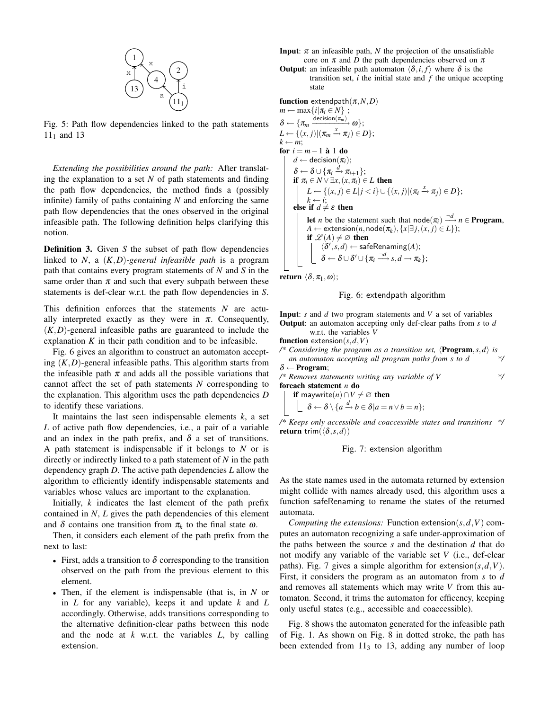

<span id="page-5-0"></span>Fig. 5: Path flow dependencies linked to the path statements  $11_1$  and 13

*Extending the possibilities around the path:* After translating the explanation to a set *N* of path statements and finding the path flow dependencies, the method finds a (possibly infinite) family of paths containing *N* and enforcing the same path flow dependencies that the ones observed in the original infeasible path. The following definition helps clarifying this notion.

**Definition 3.** Given *S* the subset of path flow dependencies linked to *N*, a (*K*,*D*)*-general infeasible path* is a program path that contains every program statements of *N* and *S* in the same order than  $\pi$  and such that every subpath between these statements is def-clear w.r.t. the path flow dependencies in *S*.

This definition enforces that the statements *N* are actually interpreted exactly as they were in  $\pi$ . Consequently,  $(K,D)$ -general infeasible paths are guaranteed to include the explanation  $K$  in their path condition and to be infeasible.

Fig. [6](#page-5-1) gives an algorithm to construct an automaton accepting  $(K,D)$ -general infeasible paths. This algorithm starts from the infeasible path  $\pi$  and adds all the possible variations that cannot affect the set of path statements *N* corresponding to the explanation. This algorithm uses the path dependencies *D* to identify these variations.

It maintains the last seen indispensable elements  $k$ , a set *L* of active path flow dependencies, i.e., a pair of a variable and an index in the path prefix, and  $\delta$  a set of transitions. A path statement is indispensable if it belongs to *N* or is directly or indirectly linked to a path statement of *N* in the path dependency graph *D*. The active path dependencies *L* allow the algorithm to efficiently identify indispensable statements and variables whose values are important to the explanation.

Initially, *k* indicates the last element of the path prefix contained in *N*, *L* gives the path dependencies of this element and  $\delta$  contains one transition from  $\pi_k$  to the final state  $\omega$ .

Then, it considers each element of the path prefix from the next to last:

- First, adds a transition to  $\delta$  corresponding to the transition observed on the path from the previous element to this element.
- Then, if the element is indispensable (that is, in *N* or in *L* for any variable), keeps it and update *k* and *L* accordingly. Otherwise, adds transitions corresponding to the alternative definition-clear paths between this node and the node at *k* w.r.t. the variables *L*, by calling extension.
- **Input:**  $\pi$  an infeasible path,  $N$  the projection of the unsatisfiable core on  $\pi$  and *D* the path dependencies observed on  $\pi$
- **Output:** an infeasible path automaton  $\langle \delta, i, f \rangle$  where  $\delta$  is the transition set,  $i$  the initial state and  $f$  the unique accepting state

function extendpath $(\pi, N, D)$ 

$$
m \leftarrow \max\{i|\pi_i \in N\};
$$
\n
$$
\delta \leftarrow \{\pi_m \xrightarrow{\text{decision}(\pi_m)} \omega\};
$$
\n
$$
L \leftarrow \{(x, j) | (\pi_m \xrightarrow{x} \pi_j) \in D\};
$$
\n
$$
k \leftarrow m;
$$
\n
$$
\text{for } i = m - 1 \text{ a } 1 \text{ do}
$$
\n
$$
d \leftarrow \text{decision}(\pi_i);
$$
\n
$$
\delta \leftarrow \delta \cup \{\pi_i \xrightarrow{d} \pi_{i+1}\};
$$
\n
$$
\text{if } \pi_i \in N \lor \exists x, (x, \pi_i) \in L \text{ then}
$$
\n
$$
L \leftarrow \{(x, j) \in L | j < i\} \cup \{(x, j) | (\pi_i \xrightarrow{x} \pi_j) \in D\};
$$
\n
$$
k \leftarrow i;
$$
\n
$$
\text{else if } d \neq \varepsilon \text{ then}
$$
\n
$$
\text{let } n \text{ be the statement such that } \text{node}(\pi_i) \xrightarrow{\neg d} n \in \text{Program},
$$
\n
$$
A \leftarrow \text{extension}(n, \text{node}(\pi_k), \{x | \exists j, (x, j) \in L\});
$$
\n
$$
\text{if } \mathcal{L}(A) \neq \varnothing \text{ then}
$$
\n
$$
\langle \delta', s, d \rangle \leftarrow \text{safeRemaining}(A);
$$
\n
$$
\delta \leftarrow \delta \cup \delta' \cup \{\pi_i \xrightarrow{\neg d} s, d \rightarrow \pi_k\};
$$

return  $\langle \delta, \pi_1, \omega \rangle$ ;

<span id="page-5-1"></span>

Input: *s* and *d* two program statements and *V* a set of variables Output: an automaton accepting only def-clear paths from *s* to *d*

w.r.t. the variables *V* function extension( $s, d, V$ )

/\* Considering the program as a transition set,  $\langle$ **Program**,*s*,*d* $\rangle$  *is* 

*an automaton accepting all program paths from s to d \*/*  $\delta \leftarrow$  Program; */\* Removes statements writing any variable of V \*/*

foreach statement *n* do **if** maywrite(*n*)∩*V*  $\neq$  ∅ then

$$
\begin{aligned}\n\mathbf{a} \quad \text{may write}(n) \quad & \forall \neq \infty \text{ then} \\
\mathbf{\delta} \leftarrow \delta \setminus \{a \xrightarrow{d} b \in \delta | a = n \lor b = n\};\n\end{aligned}
$$

*/\* Keeps only accessible and coaccessible states and transitions \*/* **return** trim( $\langle \delta, s, d \rangle$ )

#### <span id="page-5-2"></span>Fig. 7: extension algorithm

As the state names used in the automata returned by extension might collide with names already used, this algorithm uses a function safeRenaming to rename the states of the returned automata.

*Computing the extensions:* Function extension $(s, d, V)$  computes an automaton recognizing a safe under-approximation of the paths between the source *s* and the destination *d* that do not modify any variable of the variable set *V* (i.e., def-clear paths). Fig. [7](#page-5-2) gives a simple algorithm for extension( $s, d, V$ ). First, it considers the program as an automaton from *s* to *d* and removes all statements which may write *V* from this automaton. Second, it trims the automaton for efficency, keeping only useful states (e.g., accessible and coaccessible).

Fig. [8](#page-6-1) shows the automaton generated for the infeasible path of Fig. [1.](#page-2-0) As shown on Fig. [8](#page-6-1) in dotted stroke, the path has been extended from  $11<sub>3</sub>$  to 13, adding any number of loop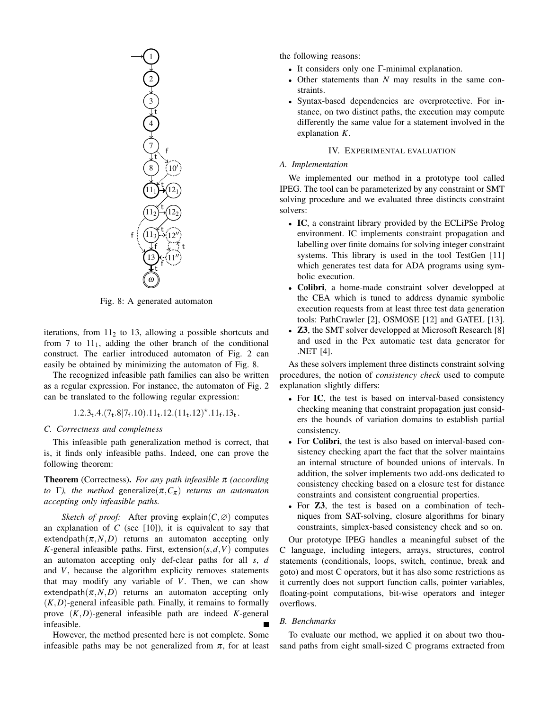

<span id="page-6-1"></span>Fig. 8: A generated automaton

iterations, from  $11<sub>2</sub>$  to 13, allowing a possible shortcuts and from 7 to  $11<sub>1</sub>$ , adding the other branch of the conditional construct. The earlier introduced automaton of Fig. [2](#page-2-1) can easily be obtained by minimizing the automaton of Fig. [8.](#page-6-1)

The recognized infeasible path families can also be written as a regular expression. For instance, the automaton of Fig. [2](#page-2-1) can be translated to the following regular expression:

 $1.2.3_t.4.\left(7_t.8|7_f.10\right).11_t.12.\left(11_t.12\right)^\star.11_f.13_t.$ 

#### *C. Correctness and completness*

This infeasible path generalization method is correct, that is, it finds only infeasible paths. Indeed, one can prove the following theorem:

Theorem (Correctness). *For any path infeasible* π *(according to* Γ), the method generalize $(\pi, C_{\pi})$  *returns an automaton accepting only infeasible paths.*

*Sketch of proof:* After proving explain( $C, \emptyset$ ) computes an explanation of  $C$  (see [\[10\]](#page-10-10)), it is equivalent to say that extendpath $(\pi, N, D)$  returns an automaton accepting only *K*-general infeasible paths. First, extension $(s, d, V)$  computes an automaton accepting only def-clear paths for all *s*, *d* and *V*, because the algorithm explicity removes statements that may modify any variable of *V*. Then, we can show extendpath $(\pi, N, D)$  returns an automaton accepting only  $(K,D)$ -general infeasible path. Finally, it remains to formally prove (*K*,*D*)-general infeasible path are indeed *K*-general infeasible.

However, the method presented here is not complete. Some infeasible paths may be not generalized from  $\pi$ , for at least the following reasons:

- It considers only one Γ-minimal explanation.
- Other statements than *N* may results in the same constraints.
- Syntax-based dependencies are overprotective. For instance, on two distinct paths, the execution may compute differently the same value for a statement involved in the explanation *K*.

#### IV. EXPERIMENTAL EVALUATION

#### <span id="page-6-0"></span>*A. Implementation*

We implemented our method in a prototype tool called IPEG. The tool can be parameterized by any constraint or SMT solving procedure and we evaluated three distincts constraint solvers:

- IC, a constraint library provided by the ECLiPSe Prolog environment. IC implements constraint propagation and labelling over finite domains for solving integer constraint systems. This library is used in the tool TestGen [\[11\]](#page-10-11) which generates test data for ADA programs using symbolic execution.
- Colibri, a home-made constraint solver developped at the CEA which is tuned to address dynamic symbolic execution requests from at least three test data generation tools: PathCrawler [\[2\]](#page-10-1), OSMOSE [\[12\]](#page-10-12) and GATEL [\[13\]](#page-10-13).
- **Z3**, the SMT solver developped at Microsoft Research [\[8\]](#page-10-7) and used in the Pex automatic test data generator for .NET [\[4\]](#page-10-3).

As these solvers implement three distincts constraint solving procedures, the notion of *consistency check* used to compute explanation slightly differs:

- For IC, the test is based on interval-based consistency checking meaning that constraint propagation just considers the bounds of variation domains to establish partial consistency.
- For **Colibri**, the test is also based on interval-based consistency checking apart the fact that the solver maintains an internal structure of bounded unions of intervals. In addition, the solver implements two add-ons dedicated to consistency checking based on a closure test for distance constraints and consistent congruential properties.
- For **Z3**, the test is based on a combination of techniques from SAT-solving, closure algorithms for binary constraints, simplex-based consistency check and so on.

Our prototype IPEG handles a meaningful subset of the C language, including integers, arrays, structures, control statements (conditionals, loops, switch, continue, break and goto) and most C operators, but it has also some restrictions as it currently does not support function calls, pointer variables, floating-point computations, bit-wise operators and integer overflows.

#### *B. Benchmarks*

To evaluate our method, we applied it on about two thousand paths from eight small-sized C programs extracted from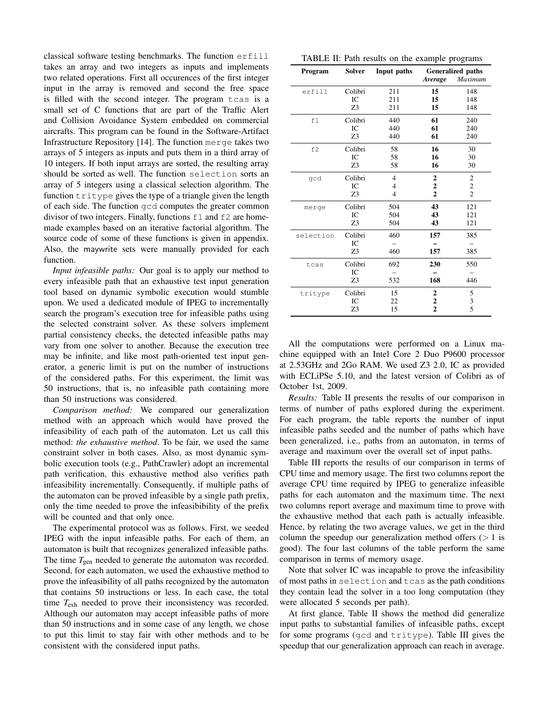classical software testing benchmarks. The function erfill takes an array and two integers as inputs and implements two related operations. First all occurences of the first integer input in the array is removed and second the free space is filled with the second integer. The program tcas is a small set of C functions that are part of the Traffic Alert and Collision Avoidance System embedded on commercial aircrafts. This program can be found in the Software-Artifact Infrastructure Repository [\[14\]](#page-10-14). The function merge takes two arrays of 5 integers as inputs and puts them in a third array of 10 integers. If both input arrays are sorted, the resulting array should be sorted as well. The function selection sorts an array of 5 integers using a classical selection algorithm. The function  $\text{tritype}$  gives the type of a triangle given the length of each side. The function gcd computes the greater common divisor of two integers. Finally, functions  $f1$  and  $f2$  are homemade examples based on an iterative factorial algorithm. The source code of some of these functions is given in appendix. Also, the maywrite sets were manually provided for each function.

*Input infeasible paths:* Our goal is to apply our method to every infeasible path that an exhaustive test input generation tool based on dynamic symbolic execution would stumble upon. We used a dedicated module of IPEG to incrementally search the program's execution tree for infeasible paths using the selected constraint solver. As these solvers implement partial consistency checks, the detected infeasible paths may vary from one solver to another. Because the execution tree may be infinite, and like most path-oriented test input generator, a generic limit is put on the number of instructions of the considered paths. For this experiment, the limit was 50 instructions, that is, no infeasible path containing more than 50 instructions was considered.

*Comparison method:* We compared our generalization method with an approach which would have proved the infeasibility of each path of the automaton. Let us call this method: *the exhaustive method*. To be fair, we used the same constraint solver in both cases. Also, as most dynamic symbolic execution tools (e.g., PathCrawler) adopt an incremental path verification, this exhaustive method also verifies path infeasibility incrementally. Consequently, if multiple paths of the automaton can be proved infeasible by a single path prefix, only the time needed to prove the infeasibibility of the prefix will be counted and that only once.

The experimental protocol was as follows. First, we seeded IPEG with the input infeasible paths. For each of them, an automaton is built that recognizes generalized infeasible paths. The time  $T_{gen}$  needed to generate the automaton was recorded. Second, for each automaton, we used the exhaustive method to prove the infeasibility of all paths recognized by the automaton that contains 50 instructions or less. In each case, the total time *T*exh needed to prove their inconsistency was recorded. Although our automaton may accept infeasible paths of more than 50 instructions and in some case of any length, we chose to put this limit to stay fair with other methods and to be consistent with the considered input paths.

<span id="page-7-0"></span>

| TABLE II: Path results on the example programs |  |  |  |  |  |  |
|------------------------------------------------|--|--|--|--|--|--|
|------------------------------------------------|--|--|--|--|--|--|

| Program   | <b>Solver</b>  | Input paths | <b>Generalized paths</b> |                |
|-----------|----------------|-------------|--------------------------|----------------|
|           |                |             | Average                  | Maximum        |
| erfill    | Colibri        | 211         | 15                       | 148            |
|           | IC             | 211         | 15                       | 148            |
|           | Z <sub>3</sub> | 211         | 15                       | 148            |
| f1        | Colibri        | 440         | 61                       | 240            |
|           | IC             | 440         | 61                       | 240            |
|           | Z3             | 440         | 61                       | 240            |
| £2        | Colibri        | 58          | 16                       | 30             |
|           | IC             | 58          | 16                       | 30             |
|           | Z3             | 58          | 16                       | 30             |
| gcd       | Colibri        | 4           | 2                        | $\mathfrak{2}$ |
|           | IC             | 4           | $\overline{2}$           | $\overline{c}$ |
|           | Z3             | 4           | $\overline{2}$           | $\overline{2}$ |
| merge     | Colibri        | 504         | 43                       | 121            |
|           | IC             | 504         | 43                       | 121            |
|           | Z3             | 504         | 43                       | 121            |
| selection | Colibri        | 460         | 157                      | 385            |
|           | IC             |             |                          |                |
|           | Z3             | 460         | 157                      | 385            |
| tcas      | Colibri        | 692         | 230                      | 550            |
|           | IC             |             |                          |                |
|           | Z3             | 532         | 168                      | 446            |
| tritype   | Colibri        | 15          | 2                        | 5              |
|           | IC             | 22          | $\overline{c}$           | 3              |
|           | Z3             | 15          | $\overline{2}$           | 5              |

All the computations were performed on a Linux machine equipped with an Intel Core 2 Duo P9600 processor at 2.53GHz and 2Go RAM. We used Z3 2.0, IC as provided with ECLiPSe 5.10, and the latest version of Colibri as of October 1st, 2009.

*Results:* Table [II](#page-7-0) presents the results of our comparison in terms of number of paths explored during the experiment. For each program, the table reports the number of input infeasible paths seeded and the number of paths which have been generalized, i.e., paths from an automaton, in terms of average and maximum over the overall set of input paths.

Table [III](#page-8-1) reports the results of our comparison in terms of CPU time and memory usage. The first two columns report the average CPU time required by IPEG to generalize infeasible paths for each automaton and the maximum time. The next two columns report average and maximum time to prove with the exhaustive method that each path is actually infeasible. Hence, by relating the two average values, we get in the third column the speedup our generalization method offers  $(1)$  is good). The four last columns of the table perform the same comparison in terms of memory usage.

Note that solver IC was incapable to prove the infeasibility of most paths in selection and tcas as the path conditions they contain lead the solver in a too long computation (they were allocated 5 seconds per path).

At first glance, Table [II](#page-7-0) shows the method did generalize input paths to substantial families of infeasible paths, except for some programs (gcd and tritype). Table [III](#page-8-1) gives the speedup that our generalization approach can reach in average.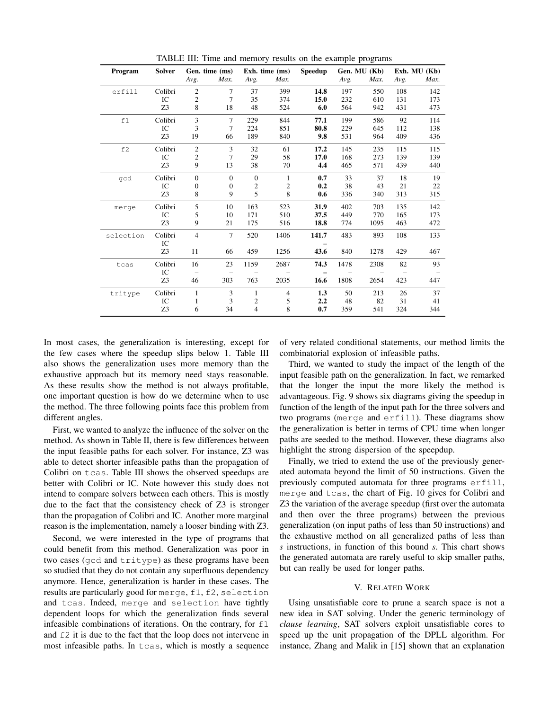| Program   | <b>Solver</b>  |                | Gen. time (ms)           | Exh. time (ms) |                |       |      |      |      | Speedup | Gen. MU (Kb) |  | Exh. MU $(Kb)$ |  |
|-----------|----------------|----------------|--------------------------|----------------|----------------|-------|------|------|------|---------|--------------|--|----------------|--|
|           |                | Avg.           | Max.                     | Avg.           | Max.           |       | Avg. | Max. | Avg. | Max.    |              |  |                |  |
| erfill    | Colibri        | $\overline{2}$ | $\overline{7}$           | 37             | 399            | 14.8  | 197  | 550  | 108  | 142     |              |  |                |  |
|           | IC             | 2              | 7                        | 35             | 374            | 15.0  | 232  | 610  | 131  | 173     |              |  |                |  |
|           | Z3             | 8              | 18                       | 48             | 524            | 6.0   | 564  | 942  | 431  | 473     |              |  |                |  |
| f1        | Colibri        | 3              | $\overline{7}$           | 229            | 844            | 77.1  | 199  | 586  | 92   | 114     |              |  |                |  |
|           | IC             | 3              | 7                        | 224            | 851            | 80.8  | 229  | 645  | 112  | 138     |              |  |                |  |
|           | Z <sub>3</sub> | 19             | 66                       | 189            | 840            | 9.8   | 531  | 964  | 409  | 436     |              |  |                |  |
| f2        | Colibri        | $\overline{2}$ | 3                        | 32             | 61             | 17.2  | 145  | 235  | 115  | 115     |              |  |                |  |
|           | IC             | $\overline{c}$ | 7                        | 29             | 58             | 17.0  | 168  | 273  | 139  | 139     |              |  |                |  |
|           | Z3             | 9              | 13                       | 38             | 70             | 4.4   | 465  | 571  | 439  | 440     |              |  |                |  |
| qcd       | Colibri        | $\mathbf{0}$   | $\mathbf{0}$             | $\mathbf{0}$   | $\mathbf{1}$   | 0.7   | 33   | 37   | 18   | 19      |              |  |                |  |
|           | IC             | $\Omega$       | $\boldsymbol{0}$         | $\mathfrak{2}$ | $\overline{c}$ | 0.2   | 38   | 43   | 21   | 22      |              |  |                |  |
|           | Z3             | 8              | 9                        | 5              | 8              | 0.6   | 336  | 340  | 313  | 315     |              |  |                |  |
| merge     | Colibri        | 5              | 10                       | 163            | 523            | 31.9  | 402  | 703  | 135  | 142     |              |  |                |  |
|           | IC             | 5              | 10                       | 171            | 510            | 37.5  | 449  | 770  | 165  | 173     |              |  |                |  |
|           | Z <sub>3</sub> | 9              | 21                       | 175            | 516            | 18.8  | 774  | 1095 | 463  | 472     |              |  |                |  |
| selection | Colibri        | $\overline{4}$ | $\overline{7}$           | 520            | 1406           | 141.7 | 483  | 893  | 108  | 133     |              |  |                |  |
|           | IC             |                |                          |                |                |       |      |      |      |         |              |  |                |  |
|           | Z <sub>3</sub> | 11             | 66                       | 459            | 1256           | 43.6  | 840  | 1278 | 429  | 467     |              |  |                |  |
| tcas      | Colibri        | 16             | 23                       | 1159           | 2687           | 74.3  | 1478 | 2308 | 82   | 93      |              |  |                |  |
|           | IC             |                | $\overline{\phantom{m}}$ |                |                |       |      |      |      |         |              |  |                |  |
|           | Z3             | 46             | 303                      | 763            | 2035           | 16.6  | 1808 | 2654 | 423  | 447     |              |  |                |  |
| tritype   | Colibri        | 1              | 3                        | $\mathbf{1}$   | $\overline{4}$ | 1.3   | 50   | 213  | 26   | 37      |              |  |                |  |
|           | IC             | 1              | 3                        | 2              | 5              | 2.2   | 48   | 82   | 31   | 41      |              |  |                |  |
|           | Z3             | 6              | 34                       | $\overline{4}$ | 8              | 0.7   | 359  | 541  | 324  | 344     |              |  |                |  |

<span id="page-8-1"></span>TABLE III: Time and memory results on the example programs

In most cases, the generalization is interesting, except for the few cases where the speedup slips below 1. Table [III](#page-8-1) also shows the generalization uses more memory than the exhaustive approach but its memory need stays reasonable. As these results show the method is not always profitable, one important question is how do we determine when to use the method. The three following points face this problem from different angles.

First, we wanted to analyze the influence of the solver on the method. As shown in Table [II,](#page-7-0) there is few differences between the input feasible paths for each solver. For instance, Z3 was able to detect shorter infeasible paths than the propagation of Colibri on tcas. Table [III](#page-8-1) shows the observed speedups are better with Colibri or IC. Note however this study does not intend to compare solvers between each others. This is mostly due to the fact that the consistency check of Z3 is stronger than the propagation of Colibri and IC. Another more marginal reason is the implementation, namely a looser binding with Z3.

Second, we were interested in the type of programs that could benefit from this method. Generalization was poor in two cases (gcd and tritype) as these programs have been so studied that they do not contain any superfluous dependency anymore. Hence, generalization is harder in these cases. The results are particularly good for merge, f1, f2, selection and tcas. Indeed, merge and selection have tightly dependent loops for which the generalization finds several infeasible combinations of iterations. On the contrary, for f1 and f2 it is due to the fact that the loop does not intervene in most infeasible paths. In tcas, which is mostly a sequence

of very related conditional statements, our method limits the combinatorial explosion of infeasible paths.

Third, we wanted to study the impact of the length of the input feasible path on the generalization. In fact, we remarked that the longer the input the more likely the method is advantageous. Fig. [9](#page-9-0) shows six diagrams giving the speedup in function of the length of the input path for the three solvers and two programs (merge and erfill). These diagrams show the generalization is better in terms of CPU time when longer paths are seeded to the method. However, these diagrams also highlight the strong dispersion of the speepdup.

Finally, we tried to extend the use of the previously generated automata beyond the limit of 50 instructions. Given the previously computed automata for three programs erfill, merge and tcas, the chart of Fig. [10](#page-9-1) gives for Colibri and Z3 the variation of the average speedup (first over the automata and then over the three programs) between the previous generalization (on input paths of less than 50 instructions) and the exhaustive method on all generalized paths of less than *s* instructions, in function of this bound *s*. This chart shows the generated automata are rarely useful to skip smaller paths, but can really be used for longer paths.

#### V. RELATED WORK

<span id="page-8-0"></span>Using unsatisfiable core to prune a search space is not a new idea in SAT solving. Under the generic terminology of *clause learning*, SAT solvers exploit unsatisfiable cores to speed up the unit propagation of the DPLL algorithm. For instance, Zhang and Malik in [\[15\]](#page-10-15) shown that an explanation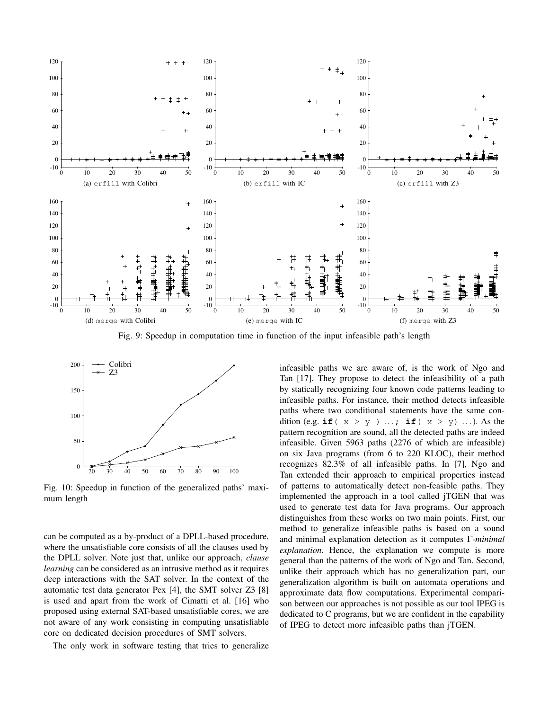

<span id="page-9-0"></span>Fig. 9: Speedup in computation time in function of the input infeasible path's length



<span id="page-9-1"></span>Fig. 10: Speedup in function of the generalized paths' maximum length

can be computed as a by-product of a DPLL-based procedure, where the unsatisfiable core consists of all the clauses used by the DPLL solver. Note just that, unlike our approach, *clause learning* can be considered as an intrusive method as it requires deep interactions with the SAT solver. In the context of the automatic test data generator Pex [\[4\]](#page-10-3), the SMT solver Z3 [\[8\]](#page-10-7) is used and apart from the work of Cimatti et al. [\[16\]](#page-10-16) who proposed using external SAT-based unsatisfiable cores, we are not aware of any work consisting in computing unsatisfiable core on dedicated decision procedures of SMT solvers.

The only work in software testing that tries to generalize

infeasible paths we are aware of, is the work of Ngo and Tan [\[17\]](#page-10-17). They propose to detect the infeasibility of a path by statically recognizing four known code patterns leading to infeasible paths. For instance, their method detects infeasible paths where two conditional statements have the same condition (e.g.  $\textbf{if}$  (  $x > y$  ) ...;  $\textbf{if}$  (  $x > y$ ) ...). As the pattern recognition are sound, all the detected paths are indeed infeasible. Given 5963 paths (2276 of which are infeasible) on six Java programs (from 6 to 220 KLOC), their method recognizes 82.3% of all infeasible paths. In [\[7\]](#page-10-5), Ngo and Tan extended their approach to empirical properties instead of patterns to automatically detect non-feasible paths. They implemented the approach in a tool called jTGEN that was used to generate test data for Java programs. Our approach distinguishes from these works on two main points. First, our method to generalize infeasible paths is based on a sound and minimal explanation detection as it computes Γ*-minimal explanation*. Hence, the explanation we compute is more general than the patterns of the work of Ngo and Tan. Second, unlike their approach which has no generalization part, our generalization algorithm is built on automata operations and approximate data flow computations. Experimental comparison between our approaches is not possible as our tool IPEG is dedicated to C programs, but we are confident in the capability of IPEG to detect more infeasible paths than jTGEN.